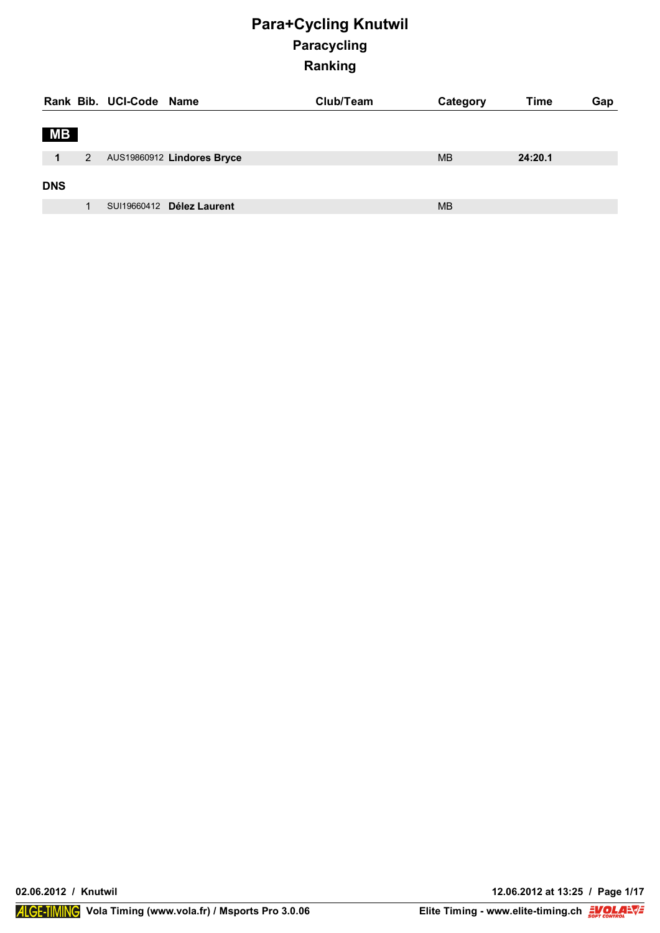|                      |   | Rank Bib. UCI-Code Name |                            | Club/Team | Category  | Time    | Gap |
|----------------------|---|-------------------------|----------------------------|-----------|-----------|---------|-----|
| <b>MB</b>            |   |                         |                            |           |           |         |     |
| $\blacktriangleleft$ | 2 |                         | AUS19860912 Lindores Bryce |           | <b>MB</b> | 24:20.1 |     |
| <b>DNS</b>           |   |                         |                            |           |           |         |     |
|                      |   |                         | SUI19660412 Délez Laurent  |           | <b>MB</b> |         |     |

**02.06.2012 / Knutwil 12.06.2012 at 13:25 / Page 1/17**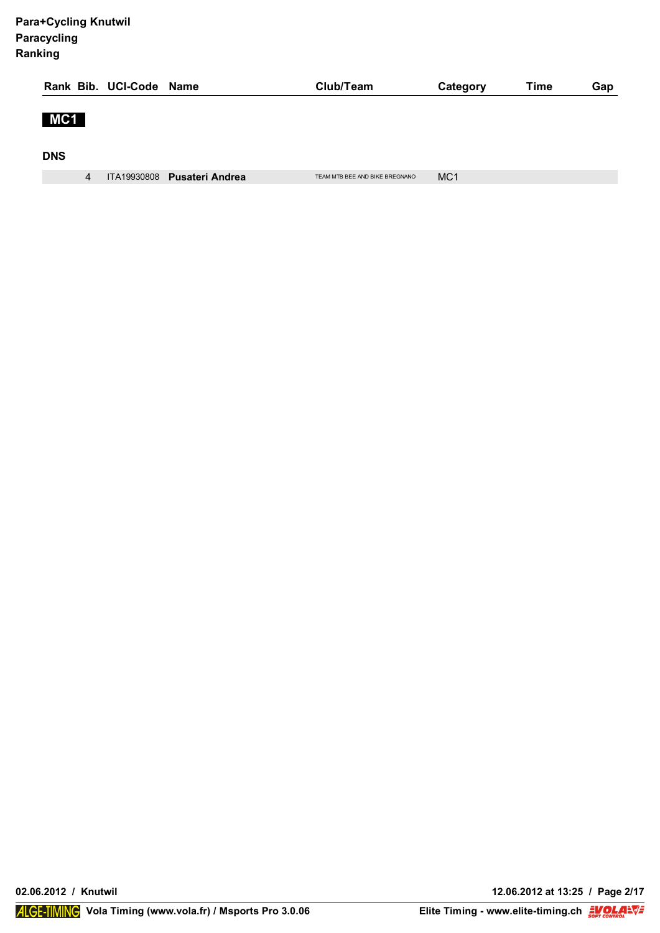|            |   | Rank Bib. UCI-Code Name |                             | Club/Team                      | Category        | Time | Gap |
|------------|---|-------------------------|-----------------------------|--------------------------------|-----------------|------|-----|
| MC1        |   |                         |                             |                                |                 |      |     |
| <b>DNS</b> |   |                         |                             |                                |                 |      |     |
|            | 4 |                         | ITA19930808 Pusateri Andrea | TEAM MTB BEE AND BIKE BREGNANO | MC <sub>1</sub> |      |     |

**02.06.2012 / Knutwil 12.06.2012 at 13:25 / Page 2/17**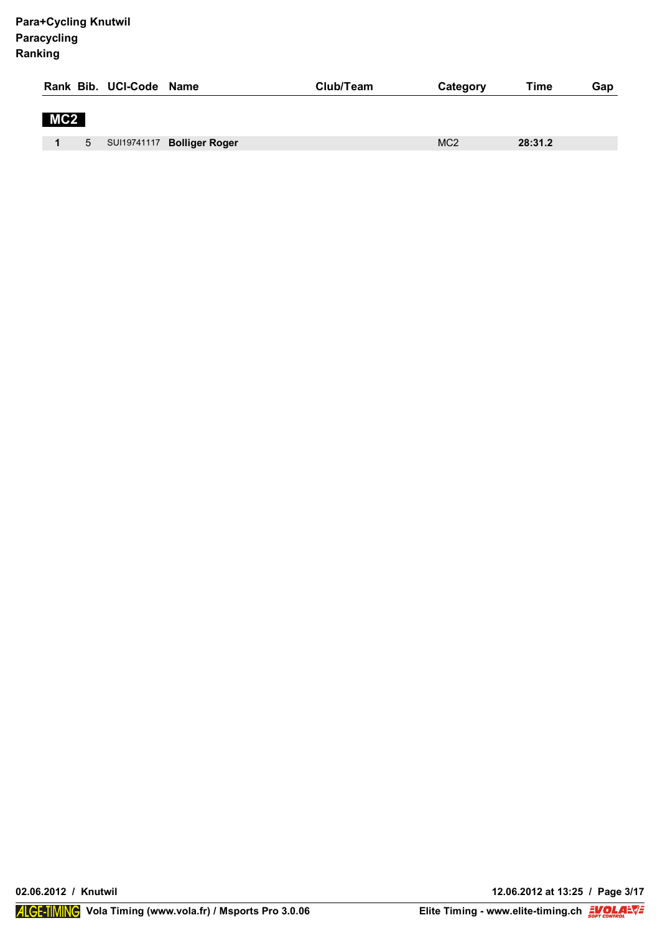|     |   | Rank Bib. UCI-Code Name |                            | Club/Team | Category        | Time    | Gap |
|-----|---|-------------------------|----------------------------|-----------|-----------------|---------|-----|
| MC2 |   |                         |                            |           |                 |         |     |
|     | 5 |                         | SUI19741117 Bolliger Roger |           | MC <sub>2</sub> | 28:31.2 |     |

**02.06.2012 / Knutwil 12.06.2012 at 13:25 / Page 3/17**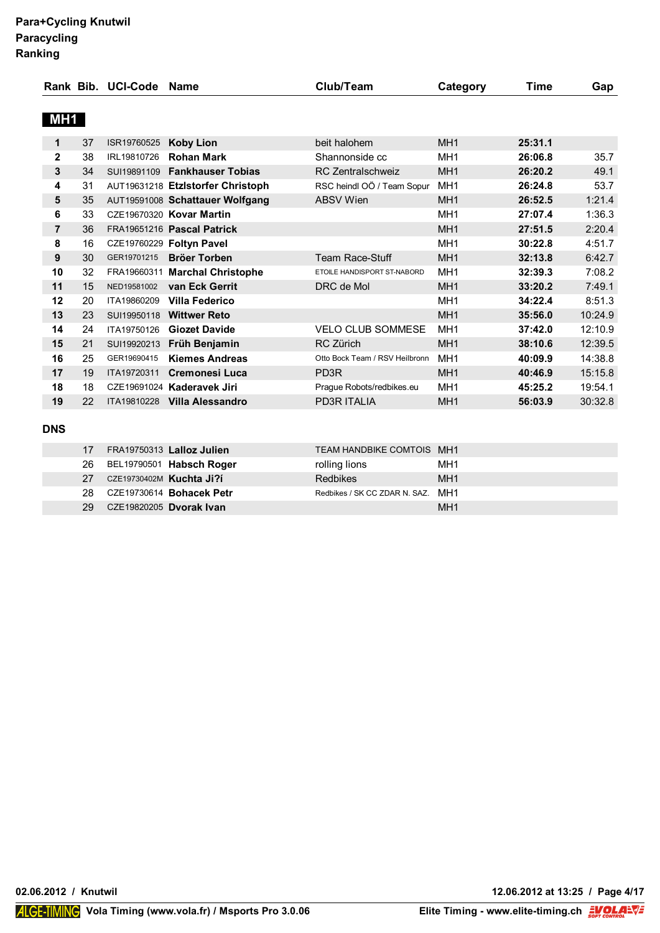| MH1<br>beit halohem<br>MH <sub>1</sub><br>25:31.1<br>1<br>37<br><b>Koby Lion</b><br>ISR19760525<br>$\mathbf{2}$<br>MH <sub>1</sub><br>26:06.8<br>38<br><b>Rohan Mark</b><br>Shannonside cc<br>IRL19810726<br>3<br><b>Fankhauser Tobias</b><br>MH <sub>1</sub><br>26:20.2<br>34<br><b>RC Zentralschweiz</b><br>SUI19891109<br>MH <sub>1</sub><br>4<br>26:24.8<br>31<br>AUT19631218 Etzlstorfer Christoph<br>RSC heindl OÖ / Team Sopur<br>MH <sub>1</sub><br>5<br>35<br><b>ABSV Wien</b><br>26:52.5<br>AUT19591008 Schattauer Wolfgang<br>6<br>MH <sub>1</sub><br>33<br>CZE19670320 Kovar Martin<br>27:07.4<br>$\overline{7}$<br>MH <sub>1</sub><br>36<br>FRA19651216 Pascal Patrick<br>27:51.5<br>8<br>MH <sub>1</sub><br>16<br>CZE19760229 Foltyn Pavel<br>30:22.8<br>MH <sub>1</sub><br>9<br>30<br><b>Team Race-Stuff</b><br>GER19701215<br><b>Bröer Torben</b><br>32:13.8<br>10<br>MH <sub>1</sub><br>32<br>FRA19660311 Marchal Christophe<br>32:39.3<br>ETOILE HANDISPORT ST-NABORD<br>11<br>MH <sub>1</sub><br>15<br>van Eck Gerrit<br>DRC de Mol<br>33:20.2<br>NED19581002<br>MH <sub>1</sub><br>12<br>34:22.4<br>20<br>ITA19860209<br>Villa Federico<br>MH <sub>1</sub><br>13<br>23<br>SUI19950118<br><b>Wittwer Reto</b><br>35:56.0<br>MH <sub>1</sub><br>14<br><b>Giozet Davide</b><br><b>VELO CLUB SOMMESE</b><br>37:42.0<br>24<br>ITA19750126<br>MH <sub>1</sub><br>15<br>21<br>Früh Benjamin<br><b>RC Zürich</b><br>38:10.6<br>SUI19920213<br>MH <sub>1</sub><br>16<br>40:09.9<br>25<br><b>Kiemes Andreas</b><br>Otto Bock Team / RSV Heilbronn<br>GER19690415<br>MH <sub>1</sub><br>17<br>19<br>Cremonesi Luca<br>PD <sub>3R</sub><br>40:46.9<br>ITA19720311<br>18<br>MH <sub>1</sub><br>18<br>45:25.2<br>CZE19691024 Kaderavek Jiri<br>Prague Robots/redbikes.eu<br>19<br>22<br><b>PD3R ITALIA</b><br>MH <sub>1</sub><br>ITA19810228<br>Villa Alessandro<br>56:03.9 |  | Rank Bib. UCI-Code | Name | Club/Team | Category | Time | Gap     |
|-----------------------------------------------------------------------------------------------------------------------------------------------------------------------------------------------------------------------------------------------------------------------------------------------------------------------------------------------------------------------------------------------------------------------------------------------------------------------------------------------------------------------------------------------------------------------------------------------------------------------------------------------------------------------------------------------------------------------------------------------------------------------------------------------------------------------------------------------------------------------------------------------------------------------------------------------------------------------------------------------------------------------------------------------------------------------------------------------------------------------------------------------------------------------------------------------------------------------------------------------------------------------------------------------------------------------------------------------------------------------------------------------------------------------------------------------------------------------------------------------------------------------------------------------------------------------------------------------------------------------------------------------------------------------------------------------------------------------------------------------------------------------------------------------------------------------------------------------------------------------------------|--|--------------------|------|-----------|----------|------|---------|
|                                                                                                                                                                                                                                                                                                                                                                                                                                                                                                                                                                                                                                                                                                                                                                                                                                                                                                                                                                                                                                                                                                                                                                                                                                                                                                                                                                                                                                                                                                                                                                                                                                                                                                                                                                                                                                                                                   |  |                    |      |           |          |      |         |
|                                                                                                                                                                                                                                                                                                                                                                                                                                                                                                                                                                                                                                                                                                                                                                                                                                                                                                                                                                                                                                                                                                                                                                                                                                                                                                                                                                                                                                                                                                                                                                                                                                                                                                                                                                                                                                                                                   |  |                    |      |           |          |      |         |
|                                                                                                                                                                                                                                                                                                                                                                                                                                                                                                                                                                                                                                                                                                                                                                                                                                                                                                                                                                                                                                                                                                                                                                                                                                                                                                                                                                                                                                                                                                                                                                                                                                                                                                                                                                                                                                                                                   |  |                    |      |           |          |      |         |
|                                                                                                                                                                                                                                                                                                                                                                                                                                                                                                                                                                                                                                                                                                                                                                                                                                                                                                                                                                                                                                                                                                                                                                                                                                                                                                                                                                                                                                                                                                                                                                                                                                                                                                                                                                                                                                                                                   |  |                    |      |           |          |      | 35.7    |
|                                                                                                                                                                                                                                                                                                                                                                                                                                                                                                                                                                                                                                                                                                                                                                                                                                                                                                                                                                                                                                                                                                                                                                                                                                                                                                                                                                                                                                                                                                                                                                                                                                                                                                                                                                                                                                                                                   |  |                    |      |           |          |      | 49.1    |
|                                                                                                                                                                                                                                                                                                                                                                                                                                                                                                                                                                                                                                                                                                                                                                                                                                                                                                                                                                                                                                                                                                                                                                                                                                                                                                                                                                                                                                                                                                                                                                                                                                                                                                                                                                                                                                                                                   |  |                    |      |           |          |      | 53.7    |
|                                                                                                                                                                                                                                                                                                                                                                                                                                                                                                                                                                                                                                                                                                                                                                                                                                                                                                                                                                                                                                                                                                                                                                                                                                                                                                                                                                                                                                                                                                                                                                                                                                                                                                                                                                                                                                                                                   |  |                    |      |           |          |      | 1:21.4  |
|                                                                                                                                                                                                                                                                                                                                                                                                                                                                                                                                                                                                                                                                                                                                                                                                                                                                                                                                                                                                                                                                                                                                                                                                                                                                                                                                                                                                                                                                                                                                                                                                                                                                                                                                                                                                                                                                                   |  |                    |      |           |          |      | 1:36.3  |
|                                                                                                                                                                                                                                                                                                                                                                                                                                                                                                                                                                                                                                                                                                                                                                                                                                                                                                                                                                                                                                                                                                                                                                                                                                                                                                                                                                                                                                                                                                                                                                                                                                                                                                                                                                                                                                                                                   |  |                    |      |           |          |      | 2:20.4  |
|                                                                                                                                                                                                                                                                                                                                                                                                                                                                                                                                                                                                                                                                                                                                                                                                                                                                                                                                                                                                                                                                                                                                                                                                                                                                                                                                                                                                                                                                                                                                                                                                                                                                                                                                                                                                                                                                                   |  |                    |      |           |          |      | 4:51.7  |
|                                                                                                                                                                                                                                                                                                                                                                                                                                                                                                                                                                                                                                                                                                                                                                                                                                                                                                                                                                                                                                                                                                                                                                                                                                                                                                                                                                                                                                                                                                                                                                                                                                                                                                                                                                                                                                                                                   |  |                    |      |           |          |      | 6:42.7  |
|                                                                                                                                                                                                                                                                                                                                                                                                                                                                                                                                                                                                                                                                                                                                                                                                                                                                                                                                                                                                                                                                                                                                                                                                                                                                                                                                                                                                                                                                                                                                                                                                                                                                                                                                                                                                                                                                                   |  |                    |      |           |          |      | 7:08.2  |
|                                                                                                                                                                                                                                                                                                                                                                                                                                                                                                                                                                                                                                                                                                                                                                                                                                                                                                                                                                                                                                                                                                                                                                                                                                                                                                                                                                                                                                                                                                                                                                                                                                                                                                                                                                                                                                                                                   |  |                    |      |           |          |      | 7:49.1  |
|                                                                                                                                                                                                                                                                                                                                                                                                                                                                                                                                                                                                                                                                                                                                                                                                                                                                                                                                                                                                                                                                                                                                                                                                                                                                                                                                                                                                                                                                                                                                                                                                                                                                                                                                                                                                                                                                                   |  |                    |      |           |          |      | 8:51.3  |
|                                                                                                                                                                                                                                                                                                                                                                                                                                                                                                                                                                                                                                                                                                                                                                                                                                                                                                                                                                                                                                                                                                                                                                                                                                                                                                                                                                                                                                                                                                                                                                                                                                                                                                                                                                                                                                                                                   |  |                    |      |           |          |      | 10:24.9 |
|                                                                                                                                                                                                                                                                                                                                                                                                                                                                                                                                                                                                                                                                                                                                                                                                                                                                                                                                                                                                                                                                                                                                                                                                                                                                                                                                                                                                                                                                                                                                                                                                                                                                                                                                                                                                                                                                                   |  |                    |      |           |          |      | 12:10.9 |
|                                                                                                                                                                                                                                                                                                                                                                                                                                                                                                                                                                                                                                                                                                                                                                                                                                                                                                                                                                                                                                                                                                                                                                                                                                                                                                                                                                                                                                                                                                                                                                                                                                                                                                                                                                                                                                                                                   |  |                    |      |           |          |      | 12:39.5 |
|                                                                                                                                                                                                                                                                                                                                                                                                                                                                                                                                                                                                                                                                                                                                                                                                                                                                                                                                                                                                                                                                                                                                                                                                                                                                                                                                                                                                                                                                                                                                                                                                                                                                                                                                                                                                                                                                                   |  |                    |      |           |          |      | 14:38.8 |
|                                                                                                                                                                                                                                                                                                                                                                                                                                                                                                                                                                                                                                                                                                                                                                                                                                                                                                                                                                                                                                                                                                                                                                                                                                                                                                                                                                                                                                                                                                                                                                                                                                                                                                                                                                                                                                                                                   |  |                    |      |           |          |      | 15:15.8 |
|                                                                                                                                                                                                                                                                                                                                                                                                                                                                                                                                                                                                                                                                                                                                                                                                                                                                                                                                                                                                                                                                                                                                                                                                                                                                                                                                                                                                                                                                                                                                                                                                                                                                                                                                                                                                                                                                                   |  |                    |      |           |          |      | 19:54.1 |
|                                                                                                                                                                                                                                                                                                                                                                                                                                                                                                                                                                                                                                                                                                                                                                                                                                                                                                                                                                                                                                                                                                                                                                                                                                                                                                                                                                                                                                                                                                                                                                                                                                                                                                                                                                                                                                                                                   |  |                    |      |           |          |      | 30:32.8 |
|                                                                                                                                                                                                                                                                                                                                                                                                                                                                                                                                                                                                                                                                                                                                                                                                                                                                                                                                                                                                                                                                                                                                                                                                                                                                                                                                                                                                                                                                                                                                                                                                                                                                                                                                                                                                                                                                                   |  |                    |      |           |          |      |         |

**DNS**

| 17 |                          | FRA19750313 Lalloz Julien | TEAM HANDBIKE COMTOIS MH1         |                 |
|----|--------------------------|---------------------------|-----------------------------------|-----------------|
| 26 |                          | BEL19790501 Habsch Roger  | rolling lions                     | MH1             |
| 27 | CZE19730402M Kuchta Ji?í |                           | <b>Redbikes</b>                   | MH <sub>1</sub> |
| 28 |                          | CZE19730614 Bohacek Petr  | Redbikes / SK CC ZDAR N. SAZ. MH1 |                 |
| 29 | CZE19820205 Dvorak Ivan  |                           |                                   | MH <sub>1</sub> |

**02.06.2012 / Knutwil 12.06.2012 at 13:25 / Page 4/17**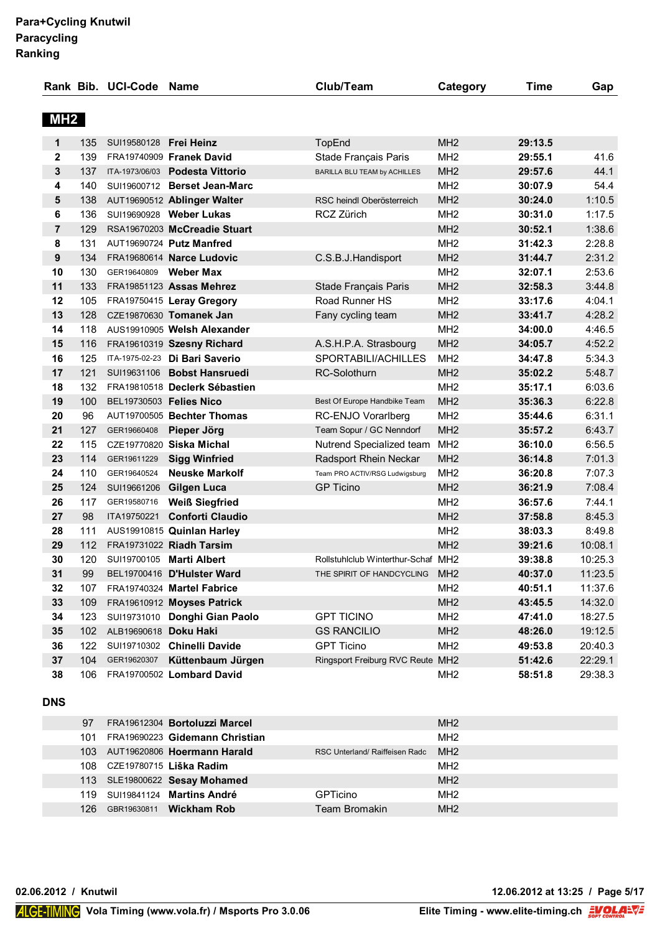|                 |     | Rank Bib. UCI-Code Name        |                                 | Club/Team                          | Category        | <b>Time</b> | Gap     |
|-----------------|-----|--------------------------------|---------------------------------|------------------------------------|-----------------|-------------|---------|
| MH <sub>2</sub> |     |                                |                                 |                                    |                 |             |         |
|                 |     |                                |                                 |                                    |                 |             |         |
| 1               | 135 | SUI19580128 Frei Heinz         |                                 | TopEnd                             | MH2             | 29:13.5     |         |
| $\mathbf{2}$    | 139 |                                | FRA19740909 Franek David        | Stade Français Paris               | MH <sub>2</sub> | 29:55.1     | 41.6    |
| 3               | 137 |                                | ITA-1973/06/03 Podesta Vittorio | BARILLA BLU TEAM by ACHILLES       | MH <sub>2</sub> | 29:57.6     | 44.1    |
| 4               | 140 |                                | SUI19600712 Berset Jean-Marc    |                                    | MH <sub>2</sub> | 30:07.9     | 54.4    |
| 5               | 138 |                                | AUT19690512 Ablinger Walter     | RSC heindl Oberösterreich          | MH <sub>2</sub> | 30:24.0     | 1:10.5  |
| 6               | 136 |                                | SUI19690928 Weber Lukas         | <b>RCZ Zürich</b>                  | MH <sub>2</sub> | 30:31.0     | 1:17.5  |
| $\overline{7}$  | 129 |                                | RSA19670203 McCreadie Stuart    |                                    | MH <sub>2</sub> | 30:52.1     | 1:38.6  |
| 8               | 131 |                                | AUT19690724 Putz Manfred        |                                    | MH <sub>2</sub> | 31:42.3     | 2:28.8  |
| 9               | 134 |                                | FRA19680614 Narce Ludovic       | C.S.B.J.Handisport                 | MH <sub>2</sub> | 31:44.7     | 2:31.2  |
| 10              | 130 | GER19640809                    | <b>Weber Max</b>                |                                    | MH <sub>2</sub> | 32:07.1     | 2:53.6  |
| 11              | 133 |                                | FRA19851123 Assas Mehrez        | Stade Français Paris               | MH <sub>2</sub> | 32:58.3     | 3:44.8  |
| 12              | 105 |                                | FRA19750415 Leray Gregory       | Road Runner HS                     | MH <sub>2</sub> | 33:17.6     | 4:04.1  |
| 13              | 128 |                                | CZE19870630 Tomanek Jan         | Fany cycling team                  | MH <sub>2</sub> | 33:41.7     | 4:28.2  |
| 14              | 118 |                                | AUS19910905 Welsh Alexander     |                                    | MH <sub>2</sub> | 34:00.0     | 4:46.5  |
| 15              | 116 |                                | FRA19610319 Szesny Richard      | A.S.H.P.A. Strasbourg              | MH <sub>2</sub> | 34:05.7     | 4:52.2  |
| 16              | 125 |                                | ITA-1975-02-23 Di Bari Saverio  | SPORTABILI/ACHILLES                | MH <sub>2</sub> | 34:47.8     | 5:34.3  |
| 17              | 121 |                                | SUI19631106 Bobst Hansruedi     | RC-Solothurn                       | MH <sub>2</sub> | 35:02.2     | 5:48.7  |
| 18              | 132 |                                | FRA19810518 Declerk Sébastien   |                                    | MH <sub>2</sub> | 35:17.1     | 6:03.6  |
| 19              | 100 | <b>BEL19730503 Felies Nico</b> |                                 | Best Of Europe Handbike Team       | MH <sub>2</sub> | 35:36.3     | 6:22.8  |
| 20              | 96  |                                | AUT19700505 Bechter Thomas      | RC-ENJO Vorarlberg                 | MH <sub>2</sub> | 35:44.6     | 6:31.1  |
| 21              | 127 | GER19660408                    | Pieper Jörg                     | Team Sopur / GC Nenndorf           | MH <sub>2</sub> | 35:57.2     | 6:43.7  |
| 22              | 115 |                                | CZE19770820 Siska Michal        | Nutrend Specialized team           | MH <sub>2</sub> | 36:10.0     | 6:56.5  |
| 23              | 114 | GER19611229                    | <b>Sigg Winfried</b>            | Radsport Rhein Neckar              | MH <sub>2</sub> | 36:14.8     | 7:01.3  |
| 24              | 110 | GER19640524                    | <b>Neuske Markolf</b>           | Team PRO ACTIV/RSG Ludwigsburg     | MH <sub>2</sub> | 36:20.8     | 7:07.3  |
| 25              | 124 |                                | SUI19661206 Gilgen Luca         | <b>GP Ticino</b>                   | MH <sub>2</sub> | 36:21.9     | 7:08.4  |
| 26              | 117 | GER19580716                    | <b>Weiß Siegfried</b>           |                                    | MH <sub>2</sub> | 36:57.6     | 7:44.1  |
| 27              | 98  |                                | ITA19750221 Conforti Claudio    |                                    | MH <sub>2</sub> | 37:58.8     | 8:45.3  |
| 28              | 111 |                                | AUS19910815 Quinlan Harley      |                                    | MH <sub>2</sub> | 38:03.3     | 8:49.8  |
| 29              | 112 |                                | FRA19731022 Riadh Tarsim        |                                    | MH <sub>2</sub> | 39:21.6     | 10:08.1 |
| 30              | 120 |                                | SUI19700105 Marti Albert        | Rollstuhlclub Winterthur-Schaf MH2 |                 | 39:38.8     | 10:25.3 |
| 31              | 99  |                                | BEL19700416 D'Hulster Ward      | THE SPIRIT OF HANDCYCLING MH2      |                 | 40:37.0     | 11:23.5 |
| 32              | 107 |                                | FRA19740324 Martel Fabrice      |                                    | MH <sub>2</sub> | 40:51.1     | 11:37.6 |
| 33              | 109 |                                | FRA19610912 Moyses Patrick      |                                    | MH <sub>2</sub> | 43:45.5     | 14:32.0 |
| 34              | 123 |                                | SUI19731010 Donghi Gian Paolo   | <b>GPT TICINO</b>                  | MH <sub>2</sub> | 47:41.0     | 18:27.5 |
| 35              | 102 | ALB19690618 Doku Haki          |                                 | <b>GS RANCILIO</b>                 | MH <sub>2</sub> | 48:26.0     | 19:12.5 |
| 36              | 122 |                                | SUI19710302 Chinelli Davide     | <b>GPT Ticino</b>                  | MH <sub>2</sub> | 49:53.8     | 20:40.3 |
| 37              | 104 |                                | GER19620307 Küttenbaum Jürgen   | Ringsport Freiburg RVC Reute MH2   |                 | 51:42.6     | 22:29.1 |
| 38              | 106 |                                | FRA19700502 Lombard David       |                                    | MH <sub>2</sub> | 58:51.8     | 29:38.3 |

### **DNS**

| 97  |                             | FRA19612304 Bortoluzzi Marcel   |                                | MH <sub>2</sub> |
|-----|-----------------------------|---------------------------------|--------------------------------|-----------------|
| 101 |                             | FRA19690223 Gidemann Christian  |                                | MH <sub>2</sub> |
|     |                             | 103 AUT19620806 Hoermann Harald | RSC Unterland/ Raiffeisen Radc | MH <sub>2</sub> |
|     | 108 CZE19780715 Liška Radim |                                 |                                | MH <sub>2</sub> |
|     |                             | 113 SLE19800622 Sesay Mohamed   |                                | MH <sub>2</sub> |
| 119 |                             | SUI19841124 Martins André       | <b>GPTicino</b>                | MH <sub>2</sub> |
| 126 | GBR19630811                 | <b>Wickham Rob</b>              | Team Bromakin                  | MH <sub>2</sub> |

**02.06.2012 / Knutwil 12.06.2012 at 13:25 / Page 5/17**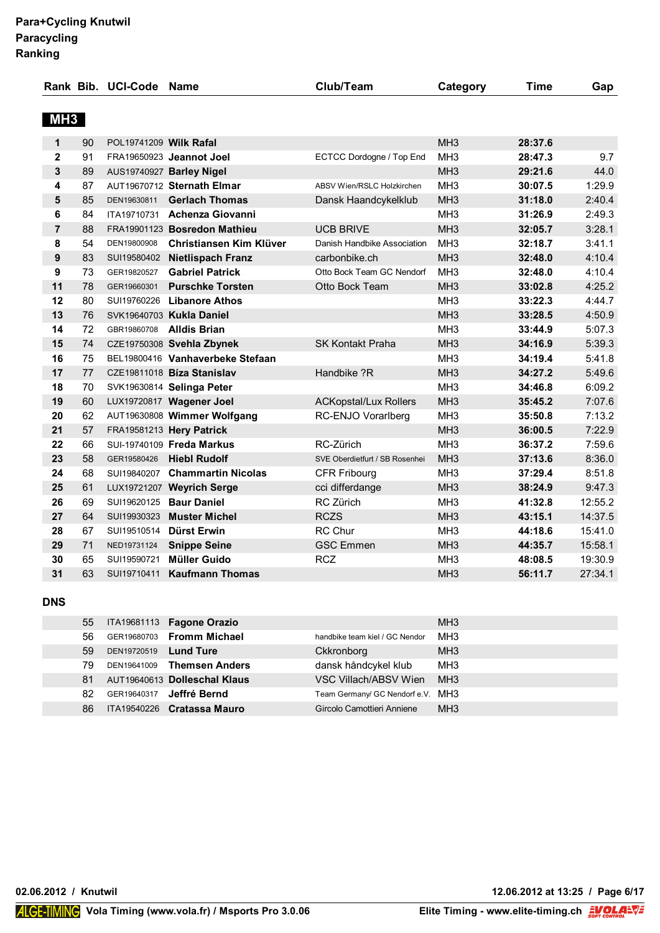|                 |    | Rank Bib. UCI-Code Name |                                  | Club/Team                      | Category        | <b>Time</b> | Gap     |
|-----------------|----|-------------------------|----------------------------------|--------------------------------|-----------------|-------------|---------|
|                 |    |                         |                                  |                                |                 |             |         |
| MH <sub>3</sub> |    |                         |                                  |                                |                 |             |         |
| 1               | 90 | POL19741209 Wilk Rafal  |                                  |                                | MH <sub>3</sub> | 28:37.6     |         |
| $\mathbf 2$     | 91 |                         | FRA19650923 Jeannot Joel         | ECTCC Dordogne / Top End       | MH <sub>3</sub> | 28:47.3     | 9.7     |
| 3               | 89 |                         | AUS19740927 Barley Nigel         |                                | MH <sub>3</sub> | 29:21.6     | 44.0    |
| 4               | 87 |                         | AUT19670712 Sternath Elmar       | ABSV Wien/RSLC Holzkirchen     | MH <sub>3</sub> | 30:07.5     | 1:29.9  |
| 5               | 85 | DEN19630811             | <b>Gerlach Thomas</b>            | Dansk Haandcykelklub           | MH <sub>3</sub> | 31:18.0     | 2:40.4  |
| 6               | 84 |                         | ITA19710731 Achenza Giovanni     |                                | MH <sub>3</sub> | 31:26.9     | 2:49.3  |
| $\overline{7}$  | 88 |                         | FRA19901123 Bosredon Mathieu     | <b>UCB BRIVE</b>               | MH <sub>3</sub> | 32:05.7     | 3:28.1  |
| 8               | 54 | DEN19800908             | Christiansen Kim Klüver          | Danish Handbike Association    | MH <sub>3</sub> | 32:18.7     | 3:41.1  |
| 9               | 83 |                         | SUI19580402 Nietlispach Franz    | carbonbike.ch                  | MH <sub>3</sub> | 32:48.0     | 4:10.4  |
| 9               | 73 | GER19820527             | <b>Gabriel Patrick</b>           | Otto Bock Team GC Nendorf      | MH <sub>3</sub> | 32:48.0     | 4:10.4  |
| 11              | 78 | GER19660301             | <b>Purschke Torsten</b>          | Otto Bock Team                 | MH <sub>3</sub> | 33:02.8     | 4:25.2  |
| 12              | 80 |                         | SUI19760226 Libanore Athos       |                                | MH <sub>3</sub> | 33:22.3     | 4:44.7  |
| 13              | 76 |                         | SVK19640703 Kukla Daniel         |                                | MH <sub>3</sub> | 33:28.5     | 4:50.9  |
| 14              | 72 | GBR19860708             | Alldis Brian                     |                                | MH <sub>3</sub> | 33:44.9     | 5:07.3  |
| 15              | 74 |                         | CZE19750308 Svehla Zbynek        | <b>SK Kontakt Praha</b>        | MH <sub>3</sub> | 34:16.9     | 5:39.3  |
| 16              | 75 |                         | BEL19800416 Vanhaverbeke Stefaan |                                | MH <sub>3</sub> | 34:19.4     | 5:41.8  |
| 17              | 77 |                         | CZE19811018 Bíza Stanislav       | Handbike ?R                    | MH <sub>3</sub> | 34:27.2     | 5:49.6  |
| 18              | 70 |                         | SVK19630814 Selinga Peter        |                                | MH <sub>3</sub> | 34:46.8     | 6:09.2  |
| 19              | 60 |                         | LUX19720817 Wagener Joel         | <b>ACKopstal/Lux Rollers</b>   | MH <sub>3</sub> | 35:45.2     | 7:07.6  |
| 20              | 62 |                         | AUT19630808 Wimmer Wolfgang      | RC-ENJO Vorarlberg             | MH <sub>3</sub> | 35:50.8     | 7:13.2  |
| 21              | 57 |                         | FRA19581213 Hery Patrick         |                                | MH <sub>3</sub> | 36:00.5     | 7:22.9  |
| 22              | 66 |                         | SUI-19740109 Freda Markus        | RC-Zürich                      | MH <sub>3</sub> | 36:37.2     | 7:59.6  |
| 23              | 58 | GER19580426             | <b>Hiebl Rudolf</b>              | SVE Oberdietfurt / SB Rosenhei | MH <sub>3</sub> | 37:13.6     | 8:36.0  |
| 24              | 68 |                         | SUI19840207 Chammartin Nicolas   | <b>CFR Fribourg</b>            | MH <sub>3</sub> | 37:29.4     | 8:51.8  |
| 25              | 61 |                         | LUX19721207 Weyrich Serge        | cci differdange                | MH <sub>3</sub> | 38:24.9     | 9:47.3  |
| 26              | 69 |                         | SUI19620125 Baur Daniel          | RC Zürich                      | MH <sub>3</sub> | 41:32.8     | 12:55.2 |
| 27              | 64 | SUI19930323             | <b>Muster Michel</b>             | <b>RCZS</b>                    | MH <sub>3</sub> | 43:15.1     | 14:37.5 |
| 28              | 67 |                         | SUI19510514 Dürst Erwin          | <b>RC Chur</b>                 | MH <sub>3</sub> | 44:18.6     | 15:41.0 |
| 29              | 71 | NED19731124             | <b>Snippe Seine</b>              | <b>GSC Emmen</b>               | MH <sub>3</sub> | 44:35.7     | 15:58.1 |
| 30              | 65 | SUI19590721             | <b>Müller Guido</b>              | <b>RCZ</b>                     | MH <sub>3</sub> | 48:08.5     | 19:30.9 |
| 31              | 63 | SUI19710411             | <b>Kaufmann Thomas</b>           |                                | MH <sub>3</sub> | 56:11.7     | 27:34.1 |

#### **DNS**

| 55 |             | ITA19681113 Fagone Orazio       |                                   | MH <sub>3</sub> |
|----|-------------|---------------------------------|-----------------------------------|-----------------|
| 56 |             | GER19680703 Fromm Michael       | handbike team kiel / GC Nendor    | MH3             |
| 59 | DEN19720519 | <b>Lund Ture</b>                | Ckkronborg                        | MH <sub>3</sub> |
| 79 |             | DEN19641009 Themsen Anders      | dansk håndcykel klub              | MH <sub>3</sub> |
| 81 |             | AUT19640613 Dolleschal Klaus    | VSC Villach/ABSV Wien             | MH <sub>3</sub> |
| 82 |             | GER19640317 <b>Jeffré Bernd</b> | Team Germany/ GC Nendorf e.V. MH3 |                 |
| 86 |             | ITA19540226 Cratassa Mauro      | Gircolo Camottieri Anniene        | MH <sub>3</sub> |

**02.06.2012 / Knutwil 12.06.2012 at 13:25 / Page 6/17**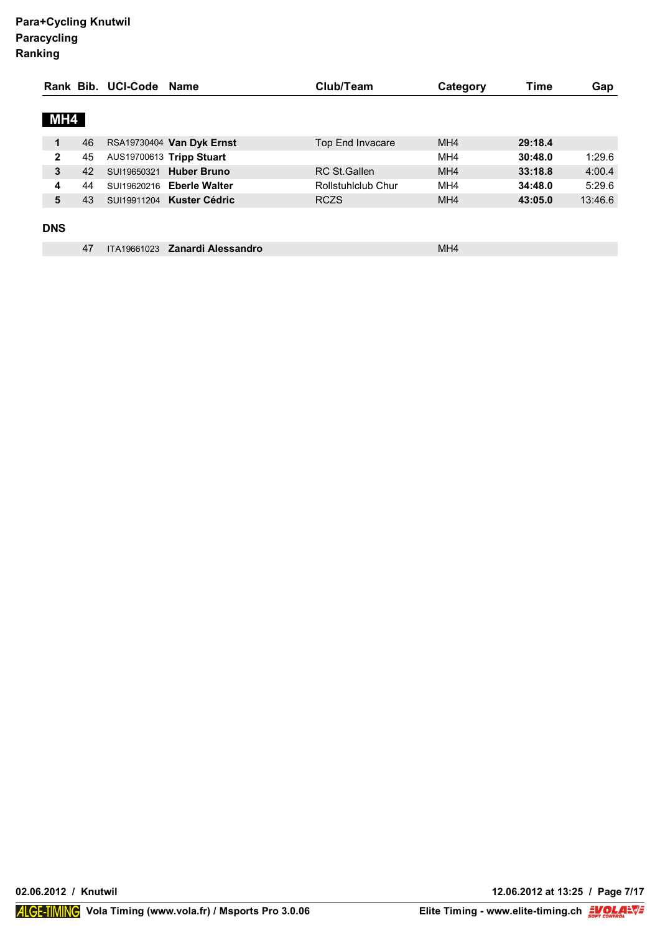|                |    | Rank Bib. UCI-Code Name |                           | Club/Team           | Category        | Time    | Gap     |
|----------------|----|-------------------------|---------------------------|---------------------|-----------------|---------|---------|
|                |    |                         |                           |                     |                 |         |         |
| MH4            |    |                         |                           |                     |                 |         |         |
| 1              | 46 |                         | RSA19730404 Van Dyk Ernst | Top End Invacare    | MH4             | 29:18.4 |         |
| $\overline{2}$ | 45 |                         | AUS19700613 Tripp Stuart  |                     | MH <sub>4</sub> | 30:48.0 | 1:29.6  |
| 3              | 42 | SUI19650321             | <b>Huber Bruno</b>        | <b>RC St.Gallen</b> | MH <sub>4</sub> | 33:18.8 | 4:00.4  |
| 4              | 44 | SUI19620216             | <b>Eberle Walter</b>      | Rollstuhlclub Chur  | MH <sub>4</sub> | 34:48.0 | 5:29.6  |
| 5              | 43 |                         | SUI19911204 Kuster Cédric | <b>RCZS</b>         | MH <sub>4</sub> | 43:05.0 | 13:46.6 |
|                |    |                         |                           |                     |                 |         |         |
| <b>DNS</b>     |    |                         |                           |                     |                 |         |         |
|                | 47 | ITA19661023             | Zanardi Alessandro        |                     | MH <sub>4</sub> |         |         |

**02.06.2012 / Knutwil 12.06.2012 at 13:25 / Page 7/17**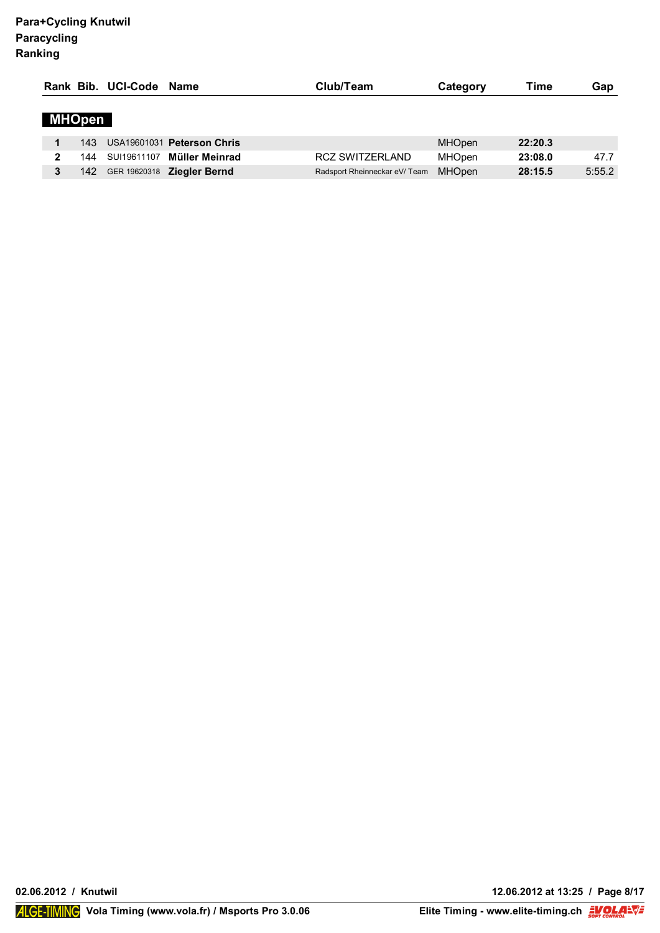|               | Rank Bib. UCI-Code Name |                            | Club/Team                     | Category      | Time    | Gap    |
|---------------|-------------------------|----------------------------|-------------------------------|---------------|---------|--------|
| <b>MHOpen</b> |                         |                            |                               |               |         |        |
| 143.          |                         | USA19601031 Peterson Chris |                               | <b>MHOpen</b> | 22:20.3 |        |
| 144           | SUI19611107             | Müller Meinrad             | <b>RCZ SWITZERLAND</b>        | <b>MHOpen</b> | 23:08.0 | 47.7   |
| 142           |                         | GER 19620318 Ziegler Bernd | Radsport Rheinneckar eV/ Team | <b>MHOpen</b> | 28:15.5 | 5:55.2 |

**02.06.2012 / Knutwil 12.06.2012 at 13:25 / Page 8/17**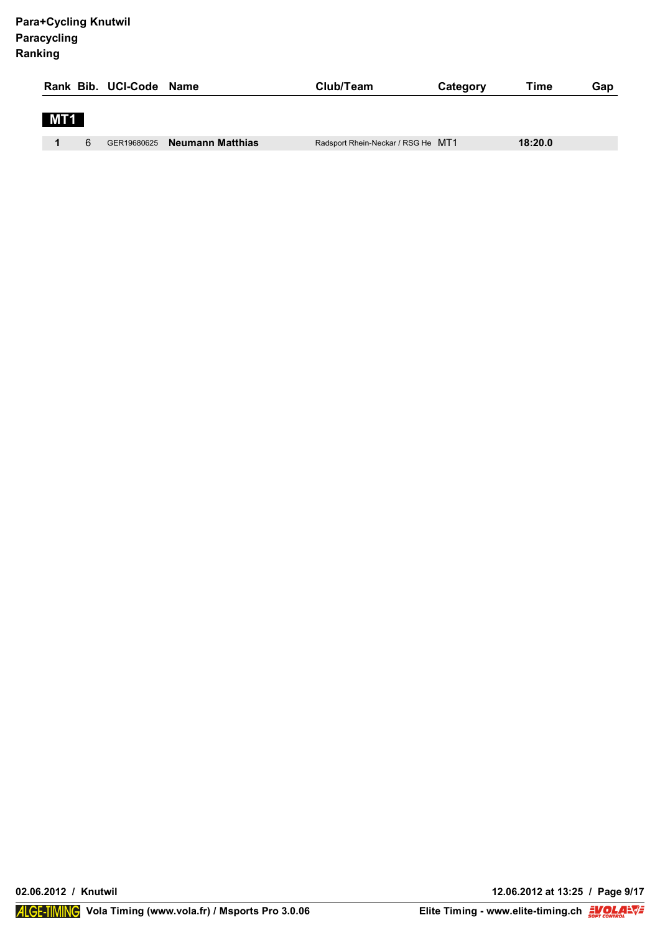|                                             | Time<br>Category<br>Gap                       |
|---------------------------------------------|-----------------------------------------------|
| MT <sub>1</sub>                             |                                               |
| 6<br><b>Neumann Matthias</b><br>GER19680625 | 18:20.0<br>Radsport Rhein-Neckar / RSG He MT1 |

**02.06.2012 / Knutwil 12.06.2012 at 13:25 / Page 9/17**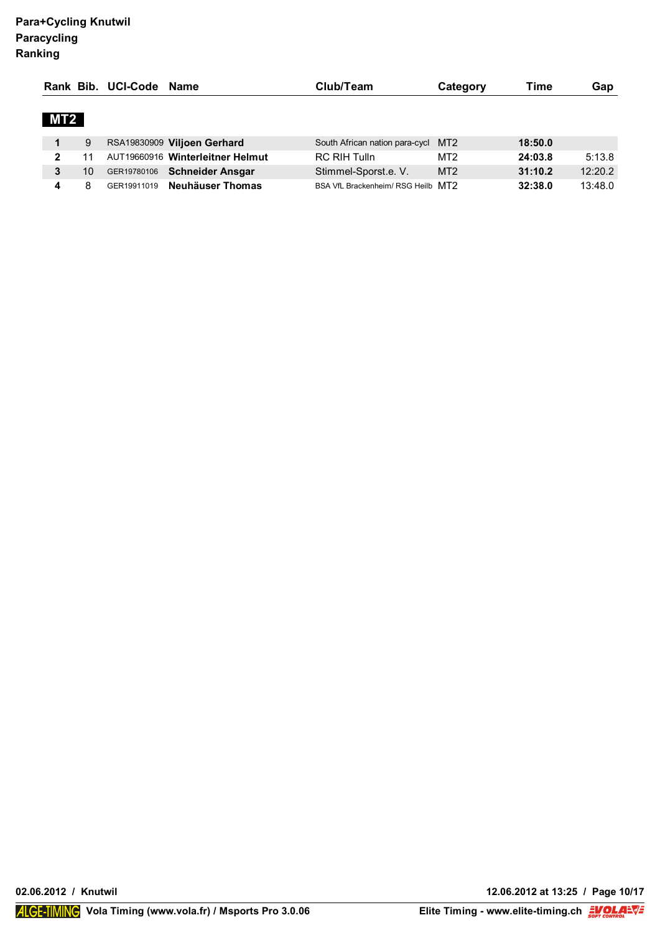|                 |    | Rank Bib. UCI-Code | Name                             | Club/Team                          | Category        | Time    | Gap     |
|-----------------|----|--------------------|----------------------------------|------------------------------------|-----------------|---------|---------|
| MT <sub>2</sub> |    |                    |                                  |                                    |                 |         |         |
|                 | 9  |                    | RSA19830909 Viljoen Gerhard      | South African nation para-cycl MT2 |                 | 18:50.0 |         |
| ົ               | 11 |                    | AUT19660916 Winterleitner Helmut | <b>RC RIH Tulln</b>                | MT <sub>2</sub> | 24:03.8 | 5:13.8  |
|                 | 10 | GER19780106        | <b>Schneider Ansgar</b>          | Stimmel-Sporst.e. V.               | MT <sub>2</sub> | 31:10.2 | 12:20.2 |
|                 | 8  | GER19911019        | Neuhäuser Thomas                 | BSA VfL Brackenheim/ RSG Heilb MT2 |                 | 32:38.0 | 13:48.0 |

**02.06.2012 / Knutwil 12.06.2012 at 13:25 / Page 10/17**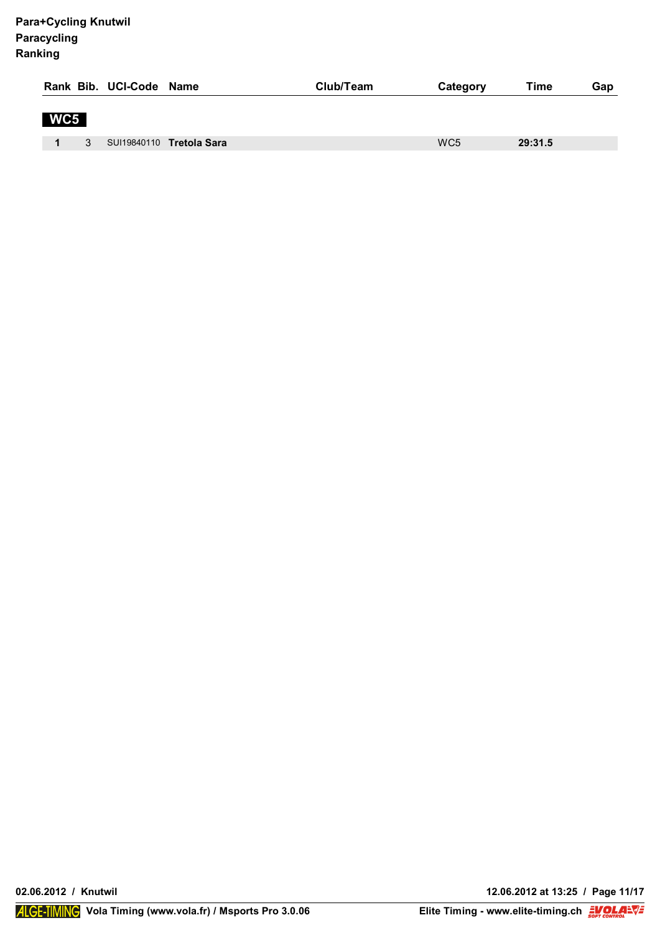|     |              | Rank Bib. UCI-Code Name |                          | Club/Team | Category        | Time    | Gap |
|-----|--------------|-------------------------|--------------------------|-----------|-----------------|---------|-----|
| WC5 |              |                         |                          |           |                 |         |     |
|     | $\mathbf{3}$ |                         | SUI19840110 Tretola Sara |           | WC <sub>5</sub> | 29:31.5 |     |

**02.06.2012 / Knutwil 12.06.2012 at 13:25 / Page 11/17**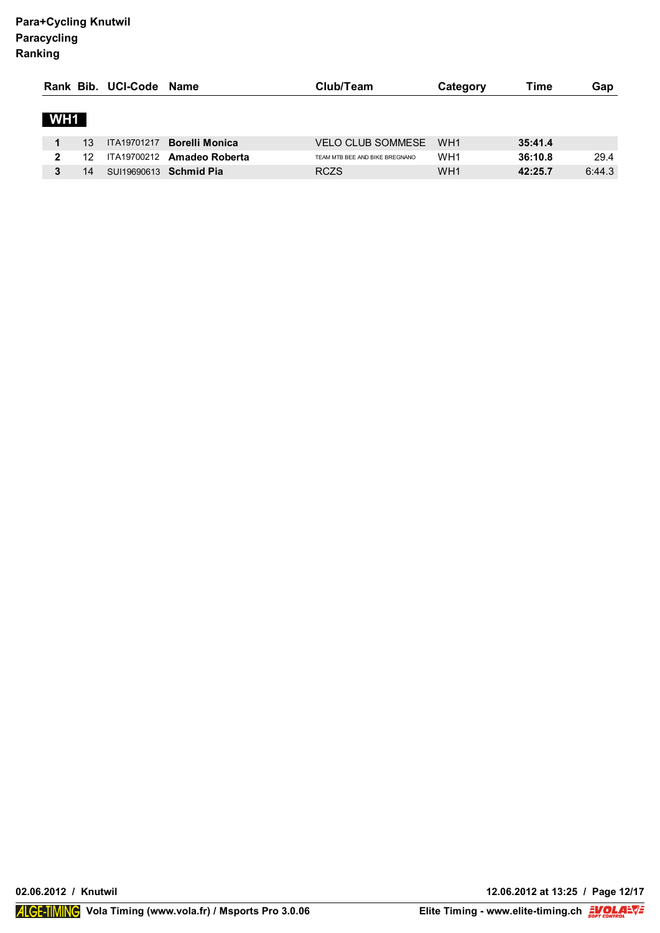|     |    | Rank Bib. UCI-Code Name |                               | Club/Team                      | Category        | Time    | Gap    |
|-----|----|-------------------------|-------------------------------|--------------------------------|-----------------|---------|--------|
| WH1 |    |                         |                               |                                |                 |         |        |
|     | 13 | ITA19701217             | <b>Borelli Monica</b>         | <b>VELO CLUB SOMMESE</b>       | WH <sub>1</sub> | 35:41.4 |        |
| 2   | 12 |                         | ITA19700212 Amadeo Roberta    | TEAM MTB BEE AND BIKE BREGNANO | WH <sub>1</sub> | 36:10.8 | 29.4   |
|     | 14 |                         | SUI19690613 <b>Schmid Pia</b> | <b>RCZS</b>                    | WH <sub>1</sub> | 42:25.7 | 6:44.3 |

**02.06.2012 / Knutwil 12.06.2012 at 13:25 / Page 12/17**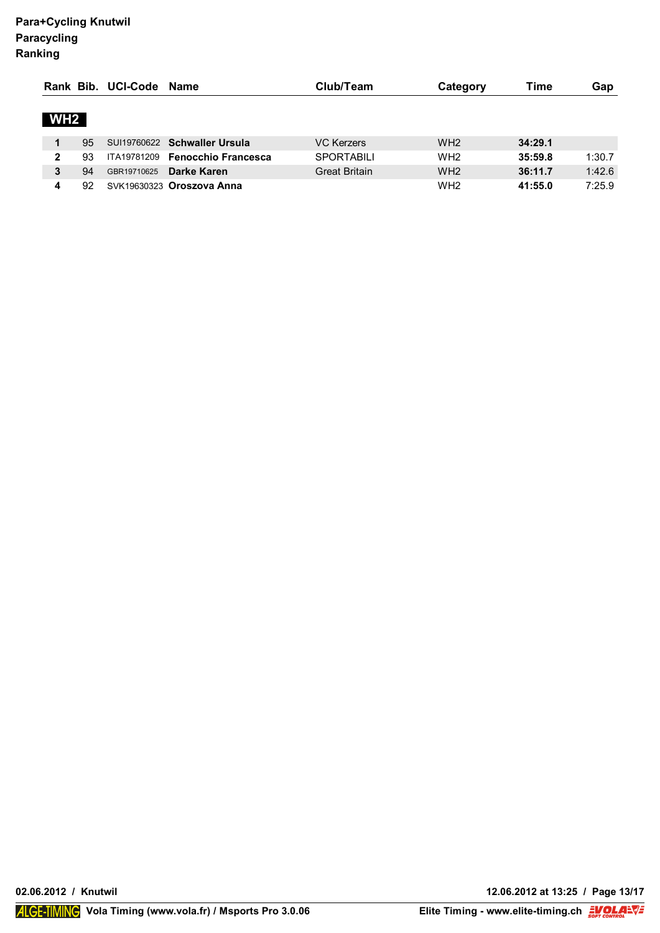|                 |    | Rank Bib. UCI-Code Name |                                 | Club/Team            | Category        | Time    | Gap    |
|-----------------|----|-------------------------|---------------------------------|----------------------|-----------------|---------|--------|
| WH <sub>2</sub> |    |                         |                                 |                      |                 |         |        |
|                 | 95 |                         | SUI19760622 Schwaller Ursula    | VC Kerzers           | WH <sub>2</sub> | 34:29.1 |        |
| $\mathbf{2}$    | 93 |                         | ITA19781209 Fenocchio Francesca | <b>SPORTABILI</b>    | WH <sub>2</sub> | 35:59.8 | 1:30.7 |
| 3               | 94 | GBR19710625             | Darke Karen                     | <b>Great Britain</b> | WH <sub>2</sub> | 36:11.7 | 1:42.6 |
|                 | 92 |                         | SVK19630323 Oroszova Anna       |                      | WH <sub>2</sub> | 41:55.0 | 7:25.9 |

**02.06.2012 / Knutwil 12.06.2012 at 13:25 / Page 13/17**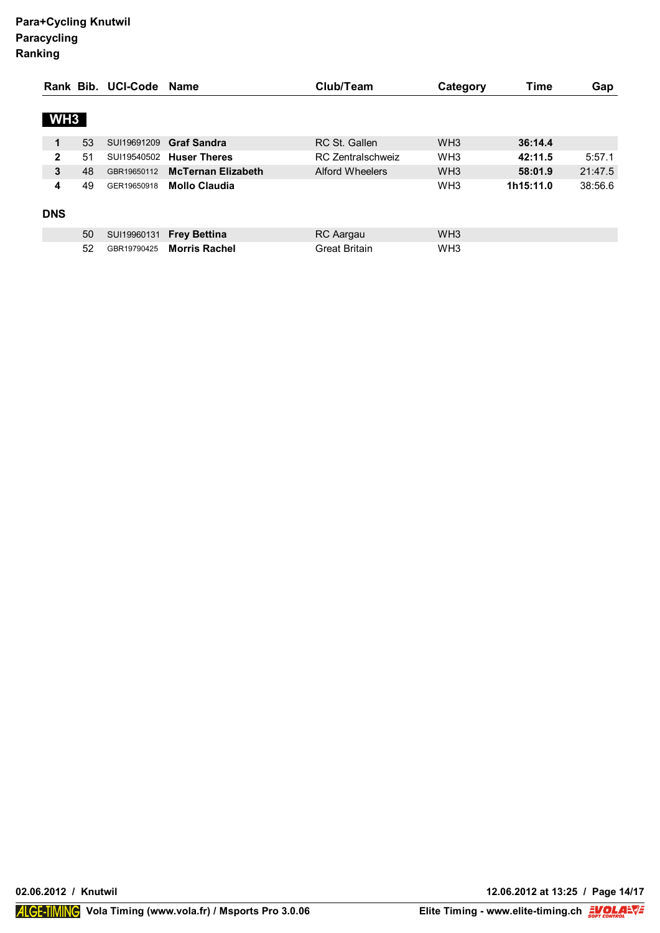|                 |    | Rank Bib. UCI-Code | Name                      | Club/Team                | Category        | Time      | Gap     |
|-----------------|----|--------------------|---------------------------|--------------------------|-----------------|-----------|---------|
|                 |    |                    |                           |                          |                 |           |         |
| WH <sub>3</sub> |    |                    |                           |                          |                 |           |         |
| 1               | 53 | SUI19691209        | <b>Graf Sandra</b>        | RC St. Gallen            | WH <sub>3</sub> | 36:14.4   |         |
| $\mathbf{2}$    | 51 | SUI19540502        | <b>Huser Theres</b>       | <b>RC Zentralschweiz</b> | WH <sub>3</sub> | 42:11.5   | 5:57.1  |
| 3               | 48 | GBR19650112        | <b>McTernan Elizabeth</b> | Alford Wheelers          | WH <sub>3</sub> | 58:01.9   | 21:47.5 |
| 4               | 49 | GER19650918        | <b>Mollo Claudia</b>      |                          | WH <sub>3</sub> | 1h15:11.0 | 38:56.6 |
| <b>DNS</b>      |    |                    |                           |                          |                 |           |         |
|                 | 50 | SUI19960131        | <b>Frey Bettina</b>       | RC Aargau                | WH <sub>3</sub> |           |         |
|                 | 52 | GBR19790425        | <b>Morris Rachel</b>      | <b>Great Britain</b>     | WH <sub>3</sub> |           |         |

**02.06.2012 / Knutwil 12.06.2012 at 13:25 / Page 14/17**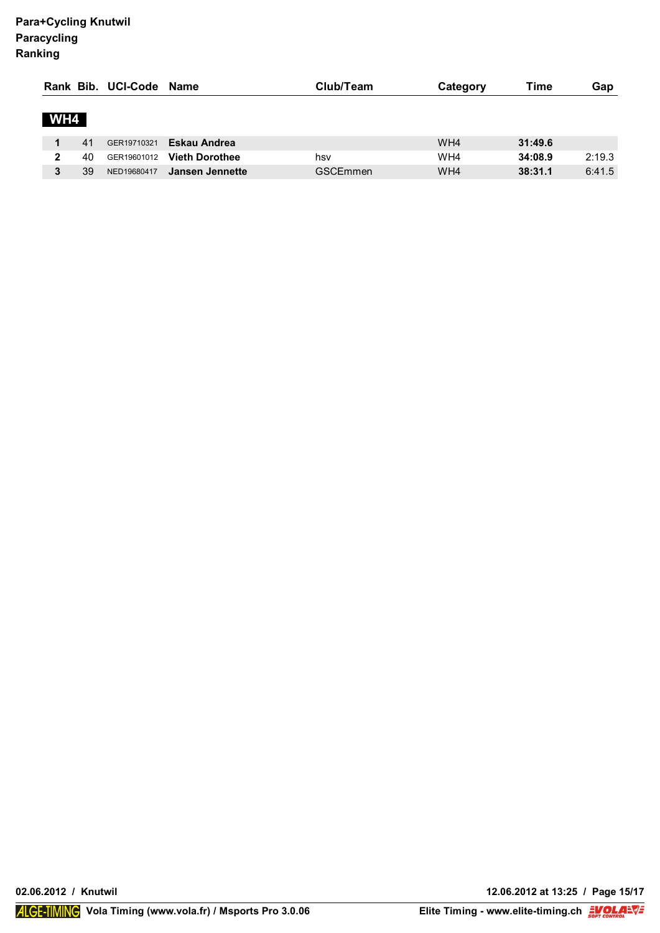|     |    | Rank Bib. UCI-Code Name |                       | Club/Team       | Category | Time    | Gap    |
|-----|----|-------------------------|-----------------------|-----------------|----------|---------|--------|
| WH4 |    |                         |                       |                 |          |         |        |
|     | 41 | GER19710321             | Eskau Andrea          |                 | WH4      | 31:49.6 |        |
| 2   | 40 | GER19601012             | <b>Vieth Dorothee</b> | hsv             | WH4      | 34:08.9 | 2:19.3 |
| 3   | 39 | NED19680417             | Jansen Jennette       | <b>GSCEmmen</b> | WH4      | 38:31.1 | 6:41.5 |

**02.06.2012 / Knutwil 12.06.2012 at 13:25 / Page 15/17**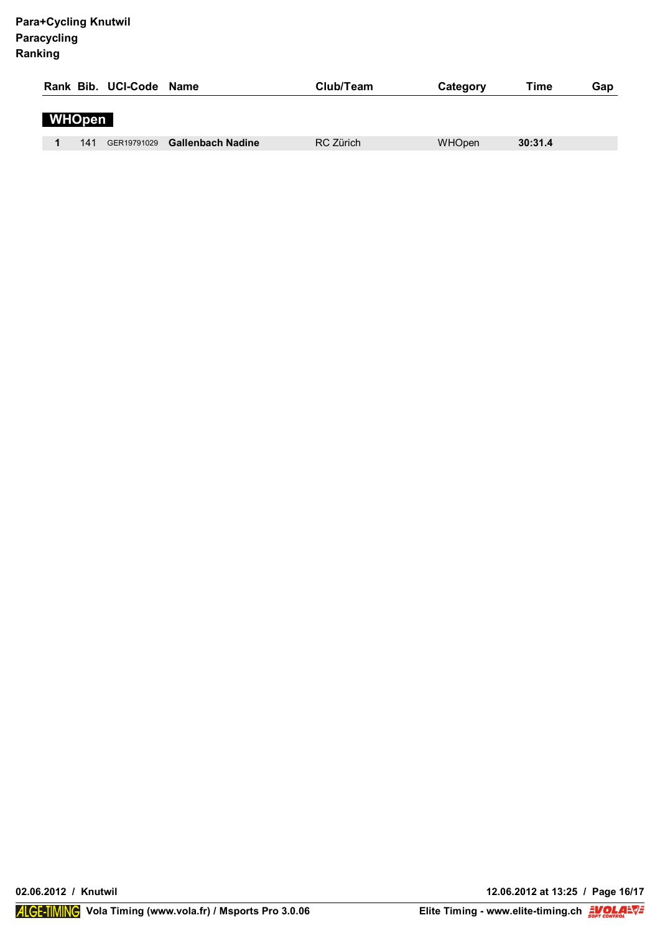|               |     | Rank Bib. UCI-Code Name |                               | Club/Team | Category      | Time    | Gap |
|---------------|-----|-------------------------|-------------------------------|-----------|---------------|---------|-----|
| <b>WHOpen</b> |     |                         |                               |           |               |         |     |
|               | 141 |                         | GER19791029 Gallenbach Nadine | RC Zürich | <b>WHOpen</b> | 30:31.4 |     |

**02.06.2012 / Knutwil 12.06.2012 at 13:25 / Page 16/17**